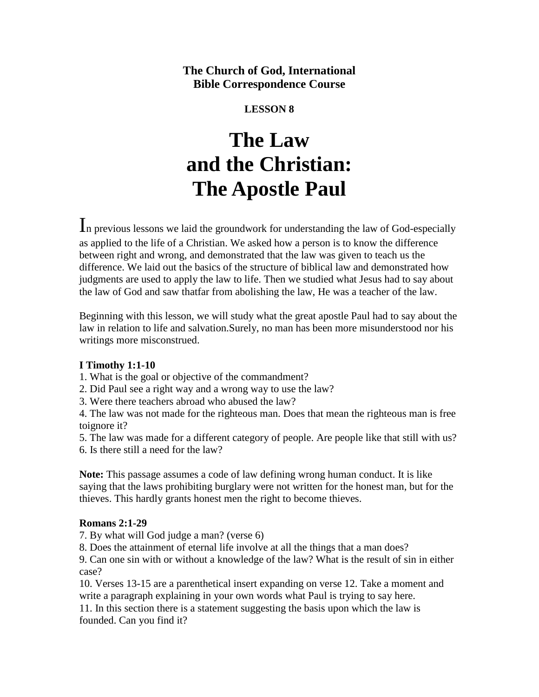# **The Church of God, International Bible Correspondence Course**

# **LESSON 8**

# **The Law and the Christian: The Apostle Paul**

In previous lessons we laid the groundwork for understanding the law of God-especially as applied to the life of a Christian. We asked how a person is to know the difference between right and wrong, and demonstrated that the law was given to teach us the difference. We laid out the basics of the structure of biblical law and demonstrated how judgments are used to apply the law to life. Then we studied what Jesus had to say about the law of God and saw thatfar from abolishing the law, He was a teacher of the law.

Beginning with this lesson, we will study what the great apostle Paul had to say about the law in relation to life and salvation.Surely, no man has been more misunderstood nor his writings more misconstrued.

# **I Timothy 1:1-10**

1. What is the goal or objective of the commandment?

- 2. Did Paul see a right way and a wrong way to use the law?
- 3. Were there teachers abroad who abused the law?

4. The law was not made for the righteous man. Does that mean the righteous man is free toignore it?

5. The law was made for a different category of people. Are people like that still with us? 6. Is there still a need for the law?

**Note:** This passage assumes a code of law defining wrong human conduct. It is like saying that the laws prohibiting burglary were not written for the honest man, but for the thieves. This hardly grants honest men the right to become thieves.

#### **Romans 2:1-29**

7. By what will God judge a man? (verse 6)

8. Does the attainment of eternal life involve at all the things that a man does?

9. Can one sin with or without a knowledge of the law? What is the result of sin in either case?

10. Verses 13-15 are a parenthetical insert expanding on verse 12. Take a moment and write a paragraph explaining in your own words what Paul is trying to say here.

11. In this section there is a statement suggesting the basis upon which the law is founded. Can you find it?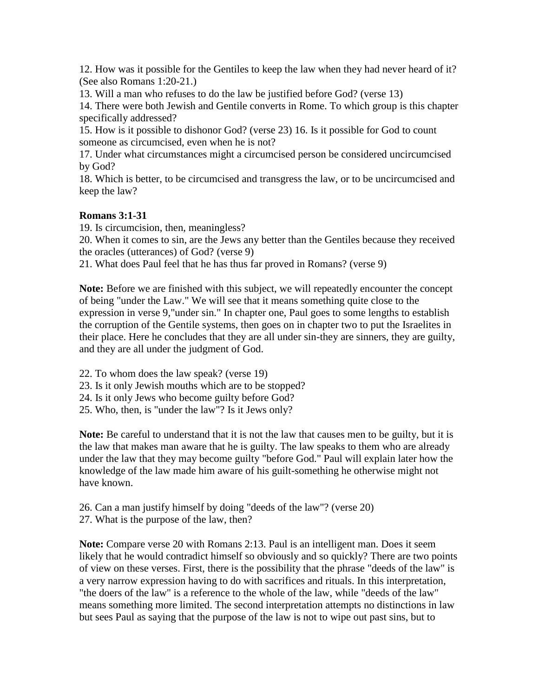12. How was it possible for the Gentiles to keep the law when they had never heard of it? (See also Romans 1:20-21.)

13. Will a man who refuses to do the law be justified before God? (verse 13)

14. There were both Jewish and Gentile converts in Rome. To which group is this chapter specifically addressed?

15. How is it possible to dishonor God? (verse 23) 16. Is it possible for God to count someone as circumcised, even when he is not?

17. Under what circumstances might a circumcised person be considered uncircumcised by God?

18. Which is better, to be circumcised and transgress the law, or to be uncircumcised and keep the law?

# **Romans 3:1-31**

19. Is circumcision, then, meaningless?

20. When it comes to sin, are the Jews any better than the Gentiles because they received the oracles (utterances) of God? (verse 9)

21. What does Paul feel that he has thus far proved in Romans? (verse 9)

**Note:** Before we are finished with this subject, we will repeatedly encounter the concept of being "under the Law." We will see that it means something quite close to the expression in verse 9,"under sin." In chapter one, Paul goes to some lengths to establish the corruption of the Gentile systems, then goes on in chapter two to put the Israelites in their place. Here he concludes that they are all under sin-they are sinners, they are guilty, and they are all under the judgment of God.

22. To whom does the law speak? (verse 19)

- 23. Is it only Jewish mouths which are to be stopped?
- 24. Is it only Jews who become guilty before God?
- 25. Who, then, is "under the law"? Is it Jews only?

**Note:** Be careful to understand that it is not the law that causes men to be guilty, but it is the law that makes man aware that he is guilty. The law speaks to them who are already under the law that they may become guilty "before God." Paul will explain later how the knowledge of the law made him aware of his guilt-something he otherwise might not have known.

- 26. Can a man justify himself by doing "deeds of the law"? (verse 20)
- 27. What is the purpose of the law, then?

**Note:** Compare verse 20 with Romans 2:13. Paul is an intelligent man. Does it seem likely that he would contradict himself so obviously and so quickly? There are two points of view on these verses. First, there is the possibility that the phrase "deeds of the law" is a very narrow expression having to do with sacrifices and rituals. In this interpretation, "the doers of the law" is a reference to the whole of the law, while "deeds of the law" means something more limited. The second interpretation attempts no distinctions in law but sees Paul as saying that the purpose of the law is not to wipe out past sins, but to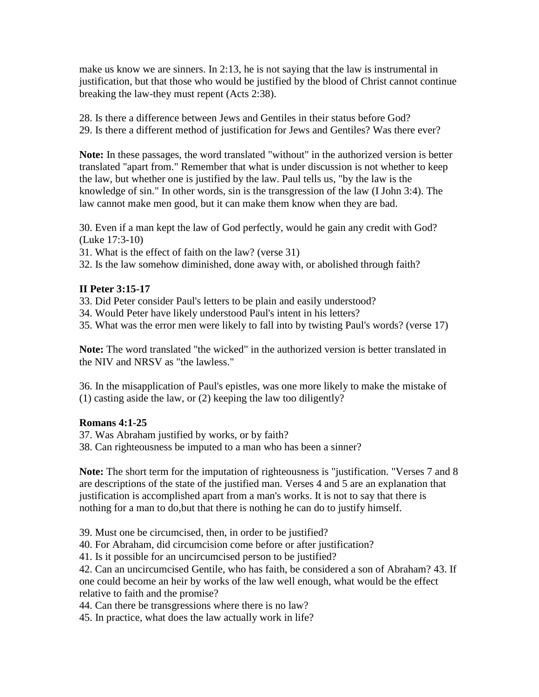make us know we are sinners. In 2:13, he is not saying that the law is instrumental in justification, but that those who would be justified by the blood of Christ cannot continue breaking the law-they must repent (Acts 2:38).

28. Is there a difference between Jews and Gentiles in their status before God? 29. Is there a different method of justification for Jews and Gentiles? Was there ever?

**Note:** In these passages, the word translated "without" in the authorized version is better translated "apart from." Remember that what is under discussion is not whether to keep the law, but whether one is justified by the law. Paul tells us, "by the law is the knowledge of sin." In other words, sin is the transgression of the law (I John 3:4). The law cannot make men good, but it can make them know when they are bad.

30. Even if a man kept the law of God perfectly, would he gain any credit with God? (Luke 17:3-10)

31. What is the effect of faith on the law? (verse 31)

32. Is the law somehow diminished, done away with, or abolished through faith?

#### **II Peter 3:15-17**

- 33. Did Peter consider Paul's letters to be plain and easily understood?
- 34. Would Peter have likely understood Paul's intent in his letters?

35. What was the error men were likely to fall into by twisting Paul's words? (verse 17)

**Note:** The word translated "the wicked" in the authorized version is better translated in the NIV and NRSV as "the lawless."

36. In the misapplication of Paul's epistles, was one more likely to make the mistake of (1) casting aside the law, or (2) keeping the law too diligently?

#### **Romans 4:1-25**

37. Was Abraham justified by works, or by faith?

38. Can righteousness be imputed to a man who has been a sinner?

**Note:** The short term for the imputation of righteousness is "justification. "Verses 7 and 8 are descriptions of the state of the justified man. Verses 4 and 5 are an explanation that justification is accomplished apart from a man's works. It is not to say that there is nothing for a man to do,but that there is nothing he can do to justify himself.

39. Must one be circumcised, then, in order to be justified?

40. For Abraham, did circumcision come before or after justification?

41. Is it possible for an uncircumcised person to be justified?

42. Can an uncircumcised Gentile, who has faith, be considered a son of Abraham? 43. If one could become an heir by works of the law well enough, what would be the effect relative to faith and the promise?

44. Can there be transgressions where there is no law?

45. In practice, what does the law actually work in life?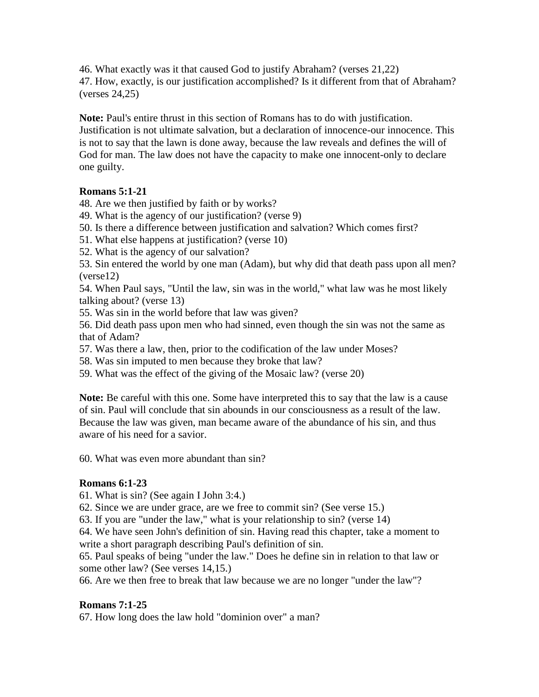46. What exactly was it that caused God to justify Abraham? (verses 21,22) 47. How, exactly, is our justification accomplished? Is it different from that of Abraham? (verses 24,25)

**Note:** Paul's entire thrust in this section of Romans has to do with justification. Justification is not ultimate salvation, but a declaration of innocence-our innocence. This is not to say that the lawn is done away, because the law reveals and defines the will of God for man. The law does not have the capacity to make one innocent-only to declare one guilty.

# **Romans 5:1-21**

48. Are we then justified by faith or by works?

49. What is the agency of our justification? (verse 9)

50. Is there a difference between justification and salvation? Which comes first?

51. What else happens at justification? (verse 10)

52. What is the agency of our salvation?

53. Sin entered the world by one man (Adam), but why did that death pass upon all men? (verse12)

54. When Paul says, "Until the law, sin was in the world," what law was he most likely talking about? (verse 13)

55. Was sin in the world before that law was given?

56. Did death pass upon men who had sinned, even though the sin was not the same as that of Adam?

57. Was there a law, then, prior to the codification of the law under Moses?

58. Was sin imputed to men because they broke that law?

59. What was the effect of the giving of the Mosaic law? (verse 20)

**Note:** Be careful with this one. Some have interpreted this to say that the law is a cause of sin. Paul will conclude that sin abounds in our consciousness as a result of the law. Because the law was given, man became aware of the abundance of his sin, and thus aware of his need for a savior.

60. What was even more abundant than sin?

#### **Romans 6:1-23**

61. What is sin? (See again I John 3:4.)

62. Since we are under grace, are we free to commit sin? (See verse 15.)

63. If you are "under the law," what is your relationship to sin? (verse 14)

64. We have seen John's definition of sin. Having read this chapter, take a moment to write a short paragraph describing Paul's definition of sin.

65. Paul speaks of being "under the law." Does he define sin in relation to that law or some other law? (See verses 14,15.)

66. Are we then free to break that law because we are no longer "under the law"?

# **Romans 7:1-25**

67. How long does the law hold "dominion over" a man?